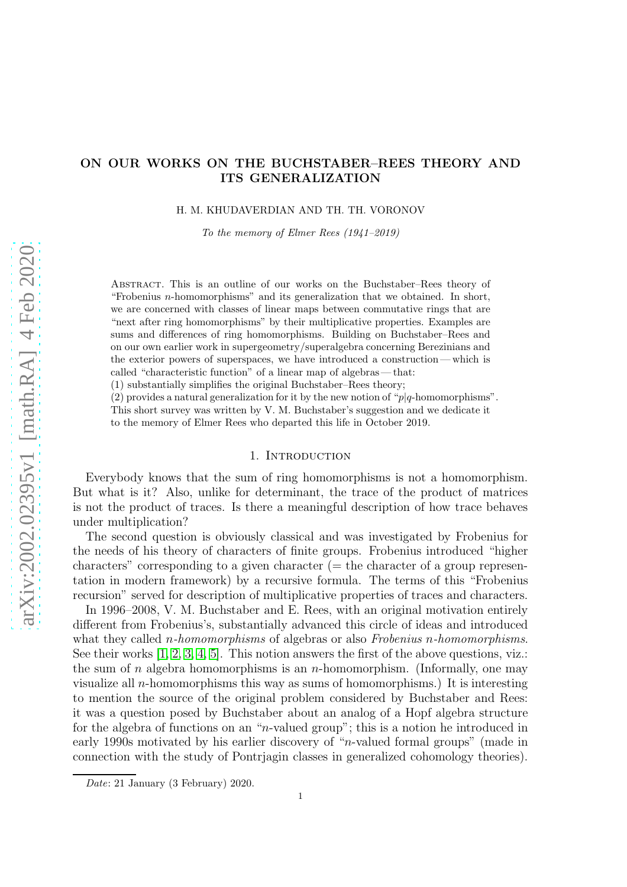# ON OUR WORKS ON THE BUCHSTABER–REES THEORY AND ITS GENERALIZATION

H. M. KHUDAVERDIAN AND TH. TH. VORONOV

To the memory of Elmer Rees (1941–2019)

Abstract. This is an outline of our works on the Buchstaber–Rees theory of "Frobenius  $n$ -homomorphisms" and its generalization that we obtained. In short, we are concerned with classes of linear maps between commutative rings that are "next after ring homomorphisms" by their multiplicative properties. Examples are sums and differences of ring homomorphisms. Building on Buchstaber–Rees and on our own earlier work in supergeometry/superalgebra concerning Berezinians and the exterior powers of superspaces, we have introduced a construction— which is called "characteristic function" of a linear map of algebras— that:

(1) substantially simplifies the original Buchstaber–Rees theory;

(2) provides a natural generalization for it by the new notion of " $p|q$ -homomorphisms".

This short survey was written by V. M. Buchstaber's suggestion and we dedicate it

to the memory of Elmer Rees who departed this life in October 2019.

## 1. INTRODUCTION

Everybody knows that the sum of ring homomorphisms is not a homomorphism. But what is it? Also, unlike for determinant, the trace of the product of matrices is not the product of traces. Is there a meaningful description of how trace behaves under multiplication?

The second question is obviously classical and was investigated by Frobenius for the needs of his theory of characters of finite groups. Frobenius introduced "higher  $\alpha$  characters" corresponding to a given character ( $=$  the character of a group representation in modern framework) by a recursive formula. The terms of this "Frobenius recursion" served for description of multiplicative properties of traces and characters.

In 1996–2008, V. M. Buchstaber and E. Rees, with an original motivation entirely different from Frobenius's, substantially advanced this circle of ideas and introduced what they called n*-homomorphisms* of algebras or also *Frobenius* n*-homomorphisms*. See their works  $[1, 2, 3, 4, 5]$  $[1, 2, 3, 4, 5]$  $[1, 2, 3, 4, 5]$  $[1, 2, 3, 4, 5]$  $[1, 2, 3, 4, 5]$ . This notion answers the first of the above questions, viz.: the sum of n algebra homomorphisms is an n-homomorphism. (Informally, one may visualize all *n*-homomorphisms this way as sums of homomorphisms.) It is interesting to mention the source of the original problem considered by Buchstaber and Rees: it was a question posed by Buchstaber about an analog of a Hopf algebra structure for the algebra of functions on an "n-valued group"; this is a notion he introduced in early 1990s motivated by his earlier discovery of "n-valued formal groups" (made in connection with the study of Pontrjagin classes in generalized cohomology theories).

Date: 21 January (3 February) 2020.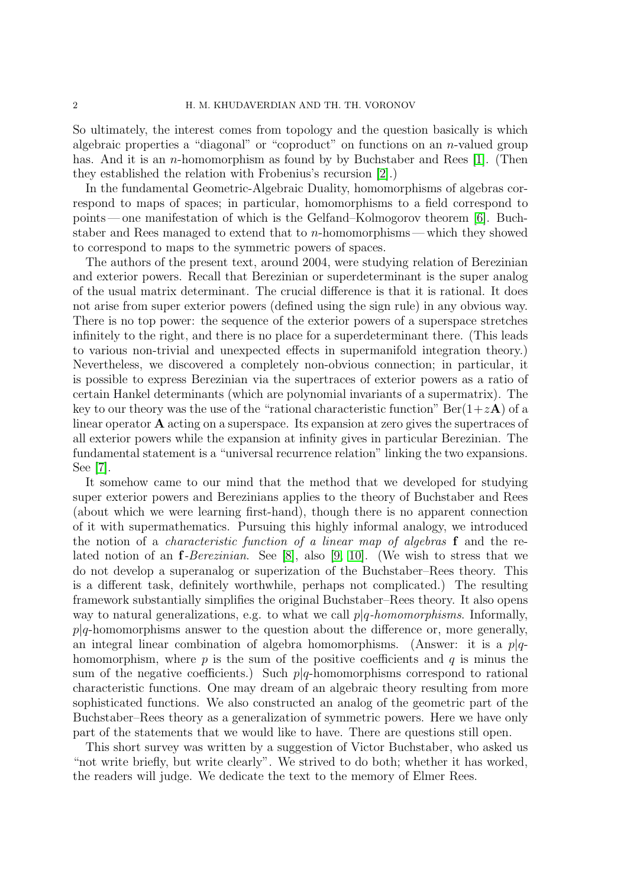So ultimately, the interest comes from topology and the question basically is which algebraic properties a "diagonal" or "coproduct" on functions on an  $n$ -valued group has. And it is an *n*-homomorphism as found by by Buchstaber and Rees [\[1\]](#page-7-0). (Then they established the relation with Frobenius's recursion [\[2\]](#page-7-1).)

In the fundamental Geometric-Algebraic Duality, homomorphisms of algebras correspond to maps of spaces; in particular, homomorphisms to a field correspond to points— one manifestation of which is the Gelfand–Kolmogorov theorem [\[6\]](#page-7-5). Buchstaber and Rees managed to extend that to *n*-homomorphisms—which they showed to correspond to maps to the symmetric powers of spaces.

The authors of the present text, around 2004, were studying relation of Berezinian and exterior powers. Recall that Berezinian or superdeterminant is the super analog of the usual matrix determinant. The crucial difference is that it is rational. It does not arise from super exterior powers (defined using the sign rule) in any obvious way. There is no top power: the sequence of the exterior powers of a superspace stretches infinitely to the right, and there is no place for a superdeterminant there. (This leads to various non-trivial and unexpected effects in supermanifold integration theory.) Nevertheless, we discovered a completely non-obvious connection; in particular, it is possible to express Berezinian via the supertraces of exterior powers as a ratio of certain Hankel determinants (which are polynomial invariants of a supermatrix). The key to our theory was the use of the "rational characteristic function"  $\text{Ber}(1+z\mathbf{A})$  of a linear operator A acting on a superspace. Its expansion at zero gives the supertraces of all exterior powers while the expansion at infinity gives in particular Berezinian. The fundamental statement is a "universal recurrence relation" linking the two expansions. See [\[7\]](#page-7-6).

It somehow came to our mind that the method that we developed for studying super exterior powers and Berezinians applies to the theory of Buchstaber and Rees (about which we were learning first-hand), though there is no apparent connection of it with supermathematics. Pursuing this highly informal analogy, we introduced the notion of a *characteristic function of a linear map of algebras* f and the related notion of an f*-Berezinian*. See [\[8\]](#page-7-7), also [\[9,](#page-7-8) [10\]](#page-7-9). (We wish to stress that we do not develop a superanalog or superization of the Buchstaber–Rees theory. This is a different task, definitely worthwhile, perhaps not complicated.) The resulting framework substantially simplifies the original Buchstaber–Rees theory. It also opens way to natural generalizations, e.g. to what we call p|q*-homomorphisms*. Informally,  $p|q$ -homomorphisms answer to the question about the difference or, more generally, an integral linear combination of algebra homomorphisms. (Answer: it is a  $p|q$ homomorphism, where p is the sum of the positive coefficients and q is minus the sum of the negative coefficients.) Such  $p|q$ -homomorphisms correspond to rational characteristic functions. One may dream of an algebraic theory resulting from more sophisticated functions. We also constructed an analog of the geometric part of the Buchstaber–Rees theory as a generalization of symmetric powers. Here we have only part of the statements that we would like to have. There are questions still open.

This short survey was written by a suggestion of Victor Buchstaber, who asked us "not write briefly, but write clearly". We strived to do both; whether it has worked, the readers will judge. We dedicate the text to the memory of Elmer Rees.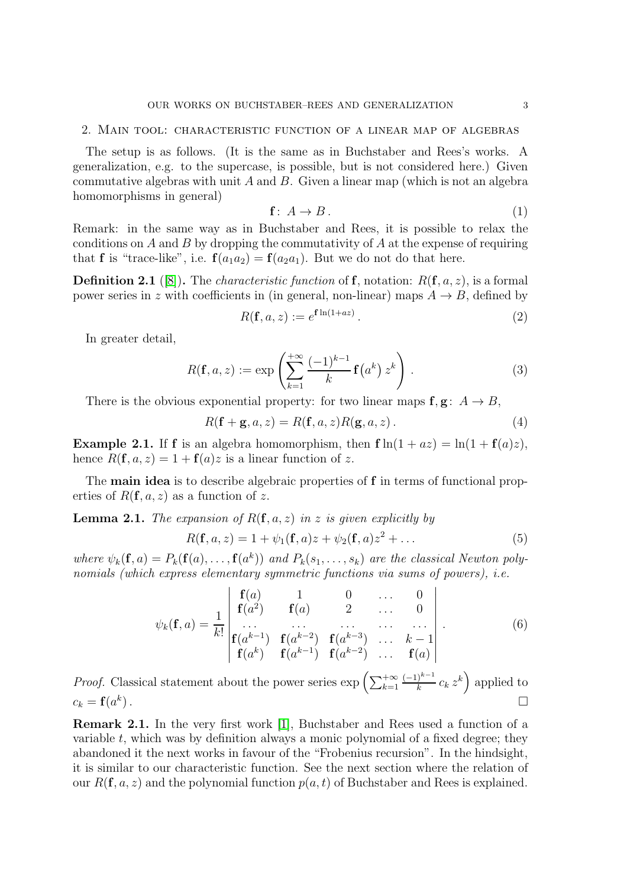### 2. Main tool: characteristic function of a linear map of algebras

The setup is as follows. (It is the same as in Buchstaber and Rees's works. A generalization, e.g. to the supercase, is possible, but is not considered here.) Given commutative algebras with unit  $A$  and  $B$ . Given a linear map (which is not an algebra homomorphisms in general)

$$
\mathbf{f}: A \to B. \tag{1}
$$

Remark: in the same way as in Buchstaber and Rees, it is possible to relax the conditions on A and B by dropping the commutativity of A at the expense of requiring that **f** is "trace-like", i.e.  $f(a_1a_2) = f(a_2a_1)$ . But we do not do that here.

**Definition 2.1** ([\[8\]](#page-7-7)). The *characteristic function* of **f**, notation:  $R(f, a, z)$ , is a formal power series in z with coefficients in (in general, non-linear) maps  $A \rightarrow B$ , defined by

$$
R(\mathbf{f}, a, z) := e^{\mathbf{f} \ln(1 + az)}.
$$
\n<sup>(2)</sup>

In greater detail,

$$
R(\mathbf{f}, a, z) := \exp\left(\sum_{k=1}^{+\infty} \frac{(-1)^{k-1}}{k} \mathbf{f}(a^k) z^k\right).
$$
 (3)

There is the obvious exponential property: for two linear maps  $f, g: A \rightarrow B$ ,

<span id="page-2-0"></span>
$$
R(\mathbf{f} + \mathbf{g}, a, z) = R(\mathbf{f}, a, z)R(\mathbf{g}, a, z).
$$
 (4)

**Example 2.1.** If **f** is an algebra homomorphism, then  $f \ln(1 + az) = \ln(1 + f(a)z)$ , hence  $R(f, a, z) = 1 + f(a)z$  is a linear function of z.

The **main idea** is to describe algebraic properties of f in terms of functional properties of  $R(f, a, z)$  as a function of z.

**Lemma 2.1.** *The expansion of*  $R(f, a, z)$  *in* z *is given explicitly by* 

$$
R(\mathbf{f}, a, z) = 1 + \psi_1(\mathbf{f}, a)z + \psi_2(\mathbf{f}, a)z^2 + \dots
$$
 (5)

where  $\psi_k(\mathbf{f}, a) = P_k(\mathbf{f}(a), \dots, \mathbf{f}(a^k))$  and  $P_k(s_1, \dots, s_k)$  are the classical Newton poly*nomials (which express elementary symmetric functions via sums of powers), i.e.*

$$
\psi_k(\mathbf{f}, a) = \frac{1}{k!} \begin{vmatrix} \mathbf{f}(a) & 1 & 0 & \dots & 0 \\ \mathbf{f}(a^2) & \mathbf{f}(a) & 2 & \dots & 0 \\ \dots & \dots & \dots & \dots & \dots \\ \mathbf{f}(a^{k-1}) & \mathbf{f}(a^{k-2}) & \mathbf{f}(a^{k-3}) & \dots & k-1 \\ \mathbf{f}(a^k) & \mathbf{f}(a^{k-1}) & \mathbf{f}(a^{k-2}) & \dots & \mathbf{f}(a) \end{vmatrix} .
$$
 (6)

*Proof.* Classical statement about the power series  $\exp\left(\sum_{k=1}^{+\infty}$  $(-1)^{k-1}$  $\frac{1}{k} \binom{k-1}{k}$  applied to  $c_k = \mathbf{f}(a^k)$ ).  $\qquad \qquad \Box$ 

Remark 2.1. In the very first work [\[1\]](#page-7-0), Buchstaber and Rees used a function of a variable  $t$ , which was by definition always a monic polynomial of a fixed degree; they abandoned it the next works in favour of the "Frobenius recursion". In the hindsight, it is similar to our characteristic function. See the next section where the relation of our  $R(f, a, z)$  and the polynomial function  $p(a, t)$  of Buchstaber and Rees is explained.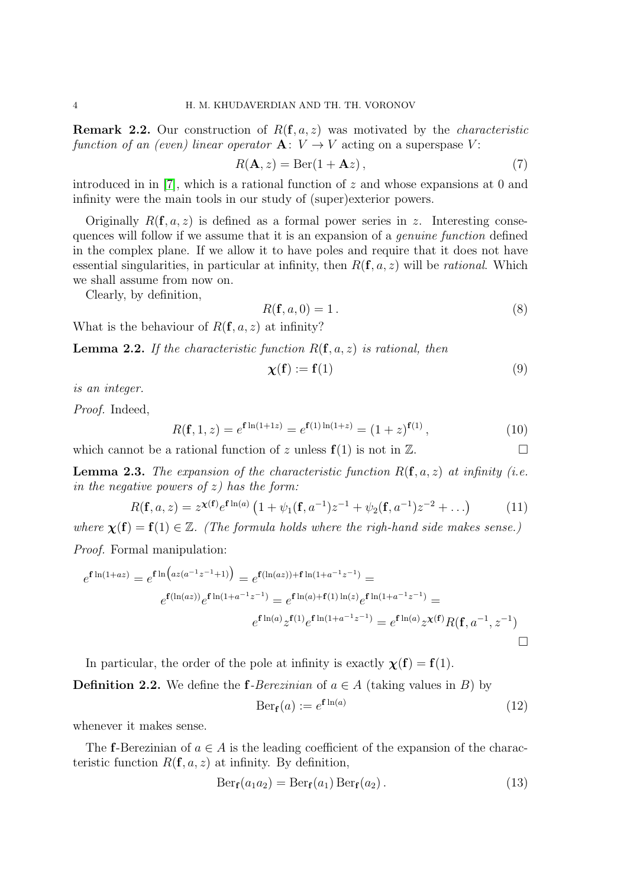Remark 2.2. Our construction of R(f, a, z) was motivated by the *characteristic function of an (even) linear operator*  $\mathbf{A}: V \to V$  acting on a superspase V:

$$
R(\mathbf{A}, z) = \text{Ber}(1 + \mathbf{A}z),\tag{7}
$$

introduced in in [\[7\]](#page-7-6), which is a rational function of  $z$  and whose expansions at 0 and infinity were the main tools in our study of (super)exterior powers.

Originally  $R(f, a, z)$  is defined as a formal power series in z. Interesting consequences will follow if we assume that it is an expansion of a *genuine function* defined in the complex plane. If we allow it to have poles and require that it does not have essential singularities, in particular at infinity, then  $R(\mathbf{f}, a, z)$  will be *rational*. Which we shall assume from now on.

Clearly, by definition,

$$
R(\mathbf{f}, a, 0) = 1.
$$
\n<sup>(8)</sup>

What is the behaviour of  $R(f, a, z)$  at infinity?

Lemma 2.2. *If the characteristic function* R(f, a, z) *is rational, then*

$$
\chi(\mathbf{f}) := \mathbf{f}(1) \tag{9}
$$

*is an integer.*

*Proof.* Indeed,

$$
R(\mathbf{f}, 1, z) = e^{\mathbf{f} \ln(1+1z)} = e^{\mathbf{f}(1) \ln(1+z)} = (1+z)^{\mathbf{f}(1)},
$$
\n(10)

which cannot be a rational function of z unless  $f(1)$  is not in  $\mathbb{Z}$ .

**Lemma 2.3.** The expansion of the characteristic function  $R(f, a, z)$  at infinity (i.e. *in the negative powers of* z*) has the form:*

$$
R(\mathbf{f}, a, z) = z^{\chi(\mathbf{f})} e^{\mathbf{f} \ln(a)} \left( 1 + \psi_1(\mathbf{f}, a^{-1}) z^{-1} + \psi_2(\mathbf{f}, a^{-1}) z^{-2} + \ldots \right)
$$
(11)

*where*  $\chi(f) = f(1) \in \mathbb{Z}$ . *(The formula holds where the righ-hand side makes sense.)* 

*Proof.* Formal manipulation:

$$
e^{\mathbf{f}\ln(1+az)} = e^{\mathbf{f}\ln\left(az(a^{-1}z^{-1}+1)\right)} = e^{\mathbf{f}(\ln(az)) + \mathbf{f}\ln(1+a^{-1}z^{-1})} =
$$

$$
e^{\mathbf{f}(\ln(az))}e^{\mathbf{f}\ln(1+a^{-1}z^{-1})} = e^{\mathbf{f}\ln(a) + \mathbf{f}(1)\ln(z)}e^{\mathbf{f}\ln(1+a^{-1}z^{-1})} =
$$

$$
e^{\mathbf{f}\ln(a)}z^{\mathbf{f}(1)}e^{\mathbf{f}\ln(1+a^{-1}z^{-1})} = e^{\mathbf{f}\ln(a)}z^{\mathbf{x}(\mathbf{f})}R(\mathbf{f},a^{-1},z^{-1})
$$

In particular, the order of the pole at infinity is exactly  $\chi(f) = f(1)$ .

**Definition 2.2.** We define the **f**-Berezinian of  $a \in A$  (taking values in B) by

$$
\text{Ber}_{\mathbf{f}}(a) := e^{\mathbf{f} \ln(a)} \tag{12}
$$

whenever it makes sense.

The f-Berezinian of  $a \in A$  is the leading coefficient of the expansion of the characteristic function  $R(f, a, z)$  at infinity. By definition,

<span id="page-3-0"></span>
$$
Ber_{\mathbf{f}}(a_1 a_2) = Ber_{\mathbf{f}}(a_1) Ber_{\mathbf{f}}(a_2).
$$
 (13)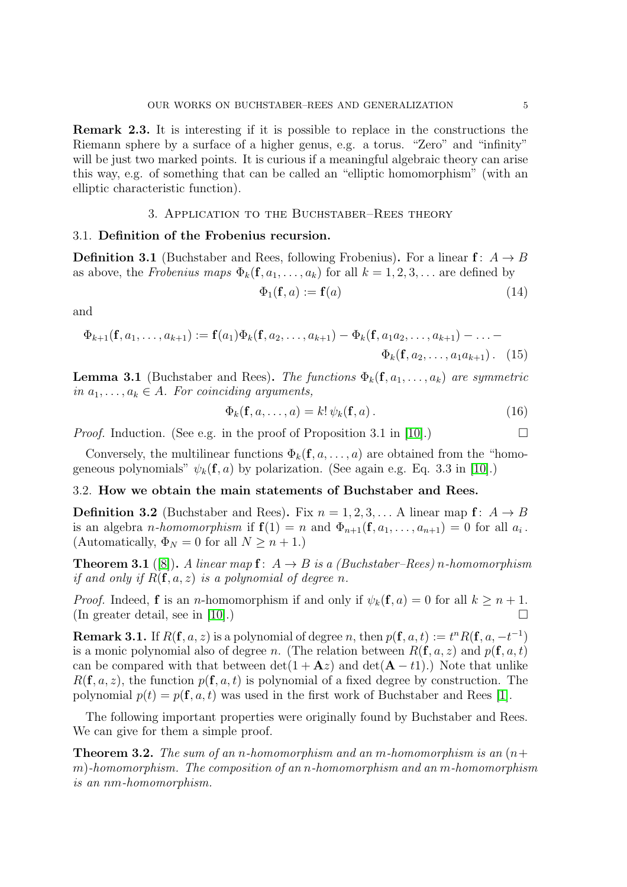Remark 2.3. It is interesting if it is possible to replace in the constructions the Riemann sphere by a surface of a higher genus, e.g. a torus. "Zero" and "infinity" will be just two marked points. It is curious if a meaningful algebraic theory can arise this way, e.g. of something that can be called an "elliptic homomorphism" (with an elliptic characteristic function).

# 3. Application to the Buchstaber–Rees theory

### 3.1. Definition of the Frobenius recursion.

**Definition 3.1** (Buchstaber and Rees, following Frobenius). For a linear  $f: A \rightarrow B$ as above, the *Frobenius maps*  $\Phi_k(f, a_1, \ldots, a_k)$  for all  $k = 1, 2, 3, \ldots$  are defined by

$$
\Phi_1(\mathbf{f}, a) := \mathbf{f}(a) \tag{14}
$$

and

$$
\Phi_{k+1}(\mathbf{f}, a_1, \dots, a_{k+1}) := \mathbf{f}(a_1) \Phi_k(\mathbf{f}, a_2, \dots, a_{k+1}) - \Phi_k(\mathbf{f}, a_1 a_2, \dots, a_{k+1}) - \dots - \Phi_k(\mathbf{f}, a_2, \dots, a_1 a_{k+1}). \tag{15}
$$

**Lemma 3.1** (Buchstaber and Rees). *The functions*  $\Phi_k(f, a_1, \ldots, a_k)$  *are symmetric in*  $a_1, \ldots, a_k \in A$ *. For coinciding arguments,* 

$$
\Phi_k(\mathbf{f}, a, \dots, a) = k! \, \psi_k(\mathbf{f}, a) \,. \tag{16}
$$

*Proof.* Induction. (See e.g. in the proof of Proposition 3.1 in [\[10\]](#page-7-9).)

Conversely, the multilinear functions  $\Phi_k(f, a, \ldots, a)$  are obtained from the "homogeneous polynomials"  $\psi_k(f, a)$  by polarization. (See again e.g. Eq. 3.3 in [\[10\]](#page-7-9).)

## 3.2. How we obtain the main statements of Buchstaber and Rees.

**Definition 3.2** (Buchstaber and Rees). Fix  $n = 1, 2, 3, ...$  A linear map  $f: A \rightarrow B$ is an algebra *n*-homomorphism if  $f(1) = n$  and  $\Phi_{n+1}(f, a_1, \ldots, a_{n+1}) = 0$  for all  $a_i$ . (Automatically,  $\Phi_N = 0$  for all  $N \geq n+1$ .)

**Theorem 3.1** ([\[8\]](#page-7-7)). *A linear map*  $f: A \rightarrow B$  *is a (Buchstaber–Rees) n*-homomorphism *if and only if*  $R(f, a, z)$  *is a polynomial of degree n.* 

*Proof.* Indeed, **f** is an *n*-homomorphism if and only if  $\psi_k(\mathbf{f}, a) = 0$  for all  $k \geq n + 1$ . (In greater detail, see in [\[10\]](#page-7-9).)  $\Box$ 

**Remark 3.1.** If  $R(f, a, z)$  is a polynomial of degree n, then  $p(f, a, t) := t^n R(f, a, -t^{-1})$ is a monic polynomial also of degree n. (The relation between  $R(\mathbf{f}, a, z)$  and  $p(\mathbf{f}, a, t)$ ) can be compared with that between  $\det(1 + \mathbf{A}z)$  and  $\det(\mathbf{A} - t\mathbf{1})$ .) Note that unlike  $R(\mathbf{f}, a, z)$ , the function  $p(\mathbf{f}, a, t)$  is polynomial of a fixed degree by construction. The polynomial  $p(t) = p(\mathbf{f}, a, t)$  was used in the first work of Buchstaber and Rees [\[1\]](#page-7-0).

The following important properties were originally found by Buchstaber and Rees. We can give for them a simple proof.

Theorem 3.2. *The sum of an* n*-homomorphism and an* m*-homomorphism is an* (n+ m)*-homomorphism. The composition of an* n*-homomorphism and an* m*-homomorphism is an* nm*-homomorphism.*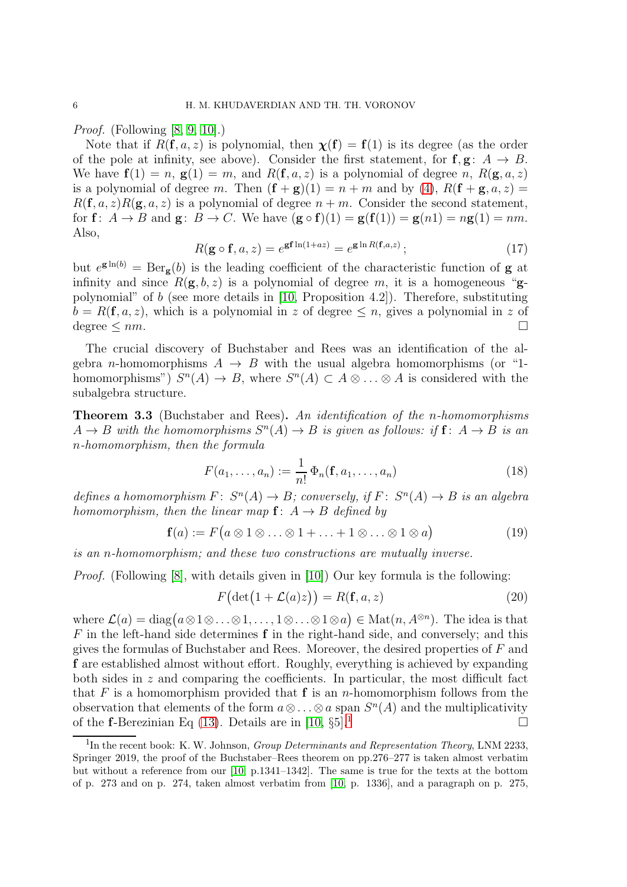*Proof.* (Following [\[8,](#page-7-7) [9,](#page-7-8) [10\]](#page-7-9).)

Note that if  $R(\mathbf{f}, a, z)$  is polynomial, then  $\mathbf{\chi}(\mathbf{f}) = \mathbf{f}(1)$  is its degree (as the order of the pole at infinity, see above). Consider the first statement, for  $f, g: A \rightarrow B$ . We have  $f(1) = n$ ,  $g(1) = m$ , and  $R(f, a, z)$  is a polynomial of degree n,  $R(g, a, z)$ is a polynomial of degree m. Then  $(f + g)(1) = n + m$  and by [\(4\)](#page-2-0),  $R(f + g, a, z) =$  $R(\mathbf{f}, a, z)R(\mathbf{g}, a, z)$  is a polynomial of degree  $n + m$ . Consider the second statement, for  $f: A \rightarrow B$  and  $g: B \rightarrow C$ . We have  $(g \circ f)(1) = g(f(1)) = g(n1) = ng(1) = nm$ . Also,

$$
R(\mathbf{g} \circ \mathbf{f}, a, z) = e^{\mathbf{g} \mathbf{f} \ln(1 + az)} = e^{\mathbf{g} \ln R(\mathbf{f}, a, z)}; \qquad (17)
$$

but  $e^{\mathbf{g}\ln(b)} = \text{Ber}_{\mathbf{g}}(b)$  is the leading coefficient of the characteristic function of **g** at infinity and since  $R(\mathbf{g}, b, z)$  is a polynomial of degree m, it is a homogeneous "gpolynomial" of b (see more details in [\[10,](#page-7-9) Proposition 4.2]). Therefore, substituting  $b = R(\mathbf{f}, a, z)$ , which is a polynomial in z of degree  $\leq n$ , gives a polynomial in z of degree  $\leq nm$ .

The crucial discovery of Buchstaber and Rees was an identification of the algebra *n*-homomorphisms  $A \rightarrow B$  with the usual algebra homomorphisms (or "1homomorphisms")  $S^n(A) \to B$ , where  $S^n(A) \subset A \otimes \ldots \otimes A$  is considered with the subalgebra structure.

Theorem 3.3 (Buchstaber and Rees). *An identification of the* n*-homomorphisms*  $A \to B$  with the homomorphisms  $S^n(A) \to B$  is given as follows: if  $f: A \to B$  is an n*-homomorphism, then the formula*

$$
F(a_1, ..., a_n) := \frac{1}{n!} \Phi_n(\mathbf{f}, a_1, ..., a_n)
$$
 (18)

*defines a homomorphism*  $F: S^n(A) \to B$ ; conversely, if  $F: S^n(A) \to B$  is an algebra *homomorphism, then the linear map*  $f: A \rightarrow B$  *defined by* 

$$
\mathbf{f}(a) := F\big(a \otimes 1 \otimes \ldots \otimes 1 + \ldots + 1 \otimes \ldots \otimes 1 \otimes a\big) \tag{19}
$$

*is an* n*-homomorphism; and these two constructions are mutually inverse.*

*Proof.* (Following [\[8\]](#page-7-7), with details given in [\[10\]](#page-7-9)) Our key formula is the following:

$$
F\big(\det(1+\mathcal{L}(a)z)\big) = R(\mathbf{f}, a, z) \tag{20}
$$

where  $\mathcal{L}(a) = \text{diag}(a \otimes 1 \otimes \ldots \otimes 1, \ldots, 1 \otimes \ldots \otimes 1 \otimes a) \in \text{Mat}(n, A^{\otimes n})$ . The idea is that  $F$  in the left-hand side determines  $f$  in the right-hand side, and conversely; and this gives the formulas of Buchstaber and Rees. Moreover, the desired properties of  $F$  and f are established almost without effort. Roughly, everything is achieved by expanding both sides in  $z$  and comparing the coefficients. In particular, the most difficult fact that F is a homomorphism provided that  $f$  is an n-homomorphism follows from the observation that elements of the form  $a \otimes \ldots \otimes a$  span  $S<sup>n</sup>(A)$  and the multiplicativity of the **f**-Berezinian Eq [\(13\)](#page-3-0). Details are in [\[10,](#page-7-9)  $\S_5$ ].<sup>[1](#page-5-0)</sup>

<span id="page-5-0"></span> ${}^{1}\text{In the recent book: K. W. Johnson, *Group Determinants and Representation Theory*, LNM 2233,$ Springer 2019, the proof of the Buchstaber–Rees theorem on pp.276–277 is taken almost verbatim but without a reference from our [\[10,](#page-7-9) p.1341–1342]. The same is true for the texts at the bottom of p. 273 and on p. 274, taken almost verbatim from [\[10,](#page-7-9) p. 1336], and a paragraph on p. 275,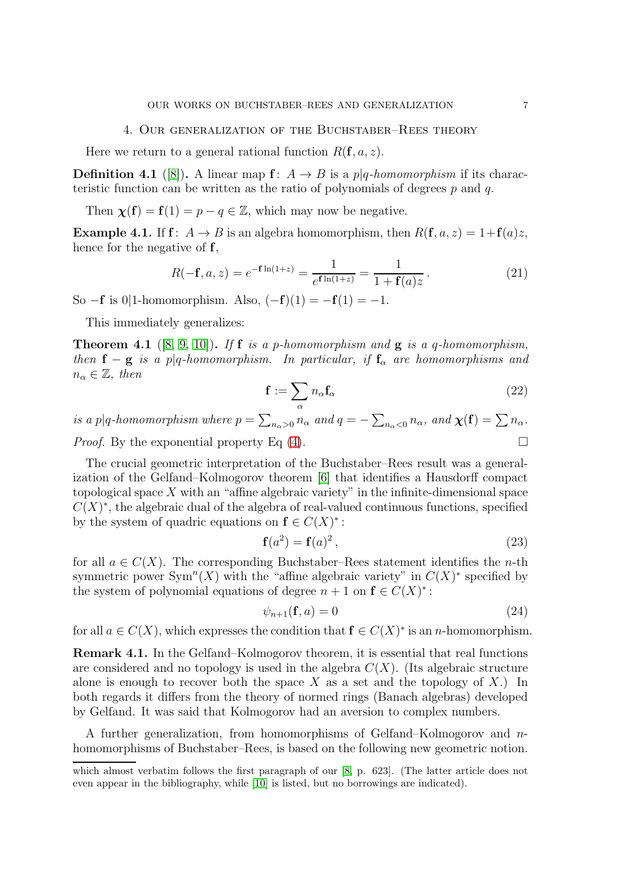### 4. Our generalization of the Buchstaber–Rees theory

Here we return to a general rational function  $R(\mathbf{f}, a, z)$ .

**Definition 4.1** ([\[8\]](#page-7-7)). A linear map  $f: A \rightarrow B$  is a p|q-homomorphism if its characteristic function can be written as the ratio of polynomials of degrees  $p$  and  $q$ .

Then  $\chi(f) = f(1) = p - q \in \mathbb{Z}$ , which may now be negative.

**Example 4.1.** If  $f: A \rightarrow B$  is an algebra homomorphism, then  $R(f, a, z) = 1 + f(a)z$ , hence for the negative of **f**,

$$
R(-\mathbf{f}, a, z) = e^{-\mathbf{f}\ln(1+z)} = \frac{1}{e^{\mathbf{f}\ln(1+z)}} = \frac{1}{1 + \mathbf{f}(a)z}.
$$
 (21)

So  $-f$  is 0|1-homomorphism. Also,  $(-f)(1) = -f(1) = -1$ .

This immediately generalizes:

<span id="page-6-0"></span>Theorem 4.1 ([\[8,](#page-7-7) [9,](#page-7-8) [10\]](#page-7-9)). *If* f *is a* p*-homomorphism and* g *is a* q*-homomorphism, then*  $f - g$  *is a* p|q-homomorphism. In particular, if  $f_\alpha$  are homomorphisms and  $n_{\alpha} \in \mathbb{Z}$ , then

$$
\mathbf{f} := \sum_{\alpha} n_{\alpha} \mathbf{f}_{\alpha} \tag{22}
$$

*is a*  $p|q$ -homomorphism where  $p = \sum_{n_{\alpha} > 0} n_{\alpha}$  and  $q = -\sum_{n_{\alpha} < 0} n_{\alpha}$ , and  $\chi(\mathbf{f}) = \sum n_{\alpha}$ . *Proof.* By the exponential property Eq  $(4)$ .

The crucial geometric interpretation of the Buchstaber–Rees result was a generalization of the Gelfand–Kolmogorov theorem [\[6\]](#page-7-5) that identifies a Hausdorff compact topological space  $X$  with an "affine algebraic variety" in the infinite-dimensional space  $C(X)^*$ , the algebraic dual of the algebra of real-valued continuous functions, specified by the system of quadric equations on  $f \in C(X)^*$ :

$$
\mathbf{f}(a^2) = \mathbf{f}(a)^2,\tag{23}
$$

for all  $a \in C(X)$ . The corresponding Buchstaber–Rees statement identifies the *n*-th symmetric power  $\text{Sym}^n(X)$  with the "affine algebraic variety" in  $C(X)^*$  specified by the system of polynomial equations of degree  $n + 1$  on  $f \in C(X)^*$ :

$$
\psi_{n+1}(\mathbf{f}, a) = 0 \tag{24}
$$

for all  $a \in C(X)$ , which expresses the condition that  $f \in C(X)^*$  is an *n*-homomorphism.

Remark 4.1. In the Gelfand–Kolmogorov theorem, it is essential that real functions are considered and no topology is used in the algebra  $C(X)$ . (Its algebraic structure alone is enough to recover both the space X as a set and the topology of X.) In both regards it differs from the theory of normed rings (Banach algebras) developed by Gelfand. It was said that Kolmogorov had an aversion to complex numbers.

A further generalization, from homomorphisms of Gelfand–Kolmogorov and nhomomorphisms of Buchstaber–Rees, is based on the following new geometric notion.

which almost verbatim follows the first paragraph of our [\[8,](#page-7-7) p. 623]. (The latter article does not even appear in the bibliography, while [\[10\]](#page-7-9) is listed, but no borrowings are indicated).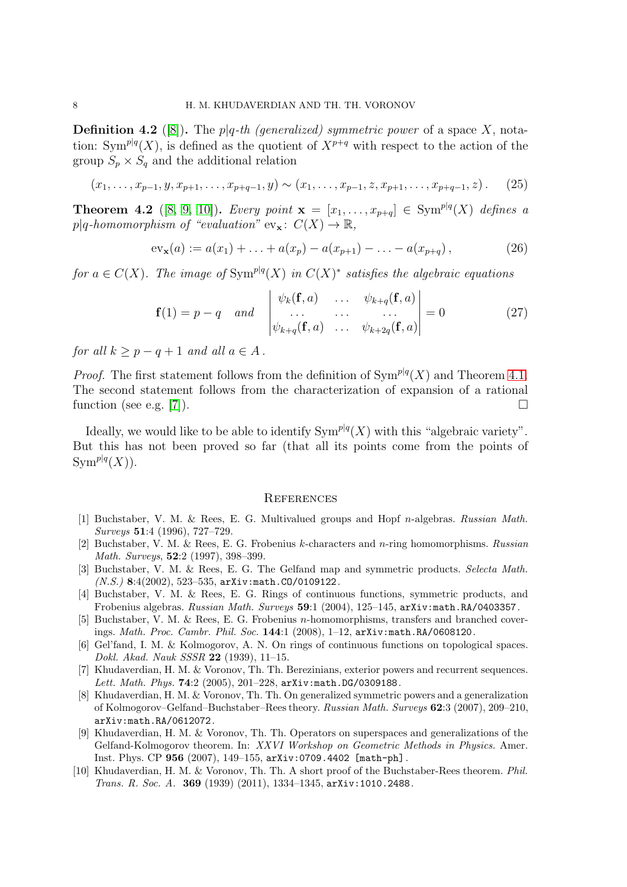**Definition 4.2** ([\[8\]](#page-7-7)). The  $p|q$ -th (generalized) symmetric power of a space X, notation: Sym<sup>p|q</sup>(X), is defined as the quotient of  $X^{p+q}$  with respect to the action of the group  $S_p \times S_q$  and the additional relation

$$
(x_1, \ldots, x_{p-1}, y, x_{p+1}, \ldots, x_{p+q-1}, y) \sim (x_1, \ldots, x_{p-1}, z, x_{p+1}, \ldots, x_{p+q-1}, z).
$$
 (25)

**Theorem 4.2** ([\[8,](#page-7-7) [9,](#page-7-8) [10\]](#page-7-9)). *Every point*  $x = [x_1, ..., x_{p+q}] \in Sym^{p|q}(X)$  *defines a*  $p|q\text{-}homomorphism of "evaluation" ev_{\mathbf{x}}: C(X) \to \mathbb{R},$ 

$$
ev_{\mathbf{x}}(a) := a(x_1) + \ldots + a(x_p) - a(x_{p+1}) - \ldots - a(x_{p+q}), \qquad (26)
$$

*for*  $a \in C(X)$ . The image of  $Sym^{p|q}(X)$  in  $C(X)^*$  satisfies the algebraic equations

$$
\mathbf{f}(1) = p - q \quad and \quad \begin{vmatrix} \psi_k(\mathbf{f}, a) & \dots & \psi_{k+q}(\mathbf{f}, a) \\ \dots & \dots & \dots \\ \psi_{k+q}(\mathbf{f}, a) & \dots & \psi_{k+2q}(\mathbf{f}, a) \end{vmatrix} = 0 \tag{27}
$$

*for all*  $k > p - q + 1$  *and all*  $a \in A$ .

*Proof.* The first statement follows from the definition of  $Sym^{p|q}(X)$  and Theorem [4.1.](#page-6-0) The second statement follows from the characterization of expansion of a rational function (see e.g. [\[7\]](#page-7-6)).

Ideally, we would like to be able to identify  $\text{Sym}^{p|q}(X)$  with this "algebraic variety". But this has not been proved so far (that all its points come from the points of  $\text{Sym}^{p|q}(X)).$ 

#### **REFERENCES**

- <span id="page-7-0"></span>[1] Buchstaber, V. M. & Rees, E. G. Multivalued groups and Hopf n-algebras. Russian Math. Surveys 51:4 (1996), 727–729.
- <span id="page-7-1"></span>[2] Buchstaber, V. M. & Rees, E. G. Frobenius k-characters and n-ring homomorphisms. Russian Math. Surveys, 52:2 (1997), 398–399.
- <span id="page-7-2"></span>[3] Buchstaber, V. M. & Rees, E. G. The Gelfand map and symmetric products. Selecta Math.  $(N.S.)$  8:4(2002), 523-535, arXiv:math.CO/0109122.
- <span id="page-7-3"></span>[4] Buchstaber, V. M. & Rees, E. G. Rings of continuous functions, symmetric products, and Frobenius algebras. Russian Math. Surveys 59:1 (2004), 125–145, arXiv:math.RA/0403357.
- <span id="page-7-4"></span>[5] Buchstaber, V. M. & Rees, E. G. Frobenius n-homomorphisms, transfers and branched coverings. Math. Proc. Cambr. Phil. Soc. 144:1 (2008), 1–12, arXiv:math.RA/0608120.
- <span id="page-7-5"></span>[6] Gel'fand, I. M. & Kolmogorov, A. N. On rings of continuous functions on topological spaces. Dokl. Akad. Nauk SSSR 22 (1939), 11–15.
- <span id="page-7-6"></span>[7] Khudaverdian, H. M. & Voronov, Th. Th. Berezinians, exterior powers and recurrent sequences. Lett. Math. Phys. 74:2 (2005), 201-228, arXiv:math.DG/0309188.
- <span id="page-7-7"></span>[8] Khudaverdian, H. M. & Voronov, Th. Th. On generalized symmetric powers and a generalization of Kolmogorov–Gelfand–Buchstaber–Rees theory. Russian Math. Surveys 62:3 (2007), 209–210, arXiv:math.RA/0612072.
- <span id="page-7-8"></span>[9] Khudaverdian, H. M. & Voronov, Th. Th. Operators on superspaces and generalizations of the Gelfand-Kolmogorov theorem. In: XXVI Workshop on Geometric Methods in Physics. Amer. Inst. Phys. CP 956 (2007), 149–155, arXiv:0709.4402 [math-ph].
- <span id="page-7-9"></span>[10] Khudaverdian, H. M. & Voronov, Th. Th. A short proof of the Buchstaber-Rees theorem. Phil. Trans. R. Soc. A. 369 (1939) (2011), 1334–1345, arXiv:1010.2488.